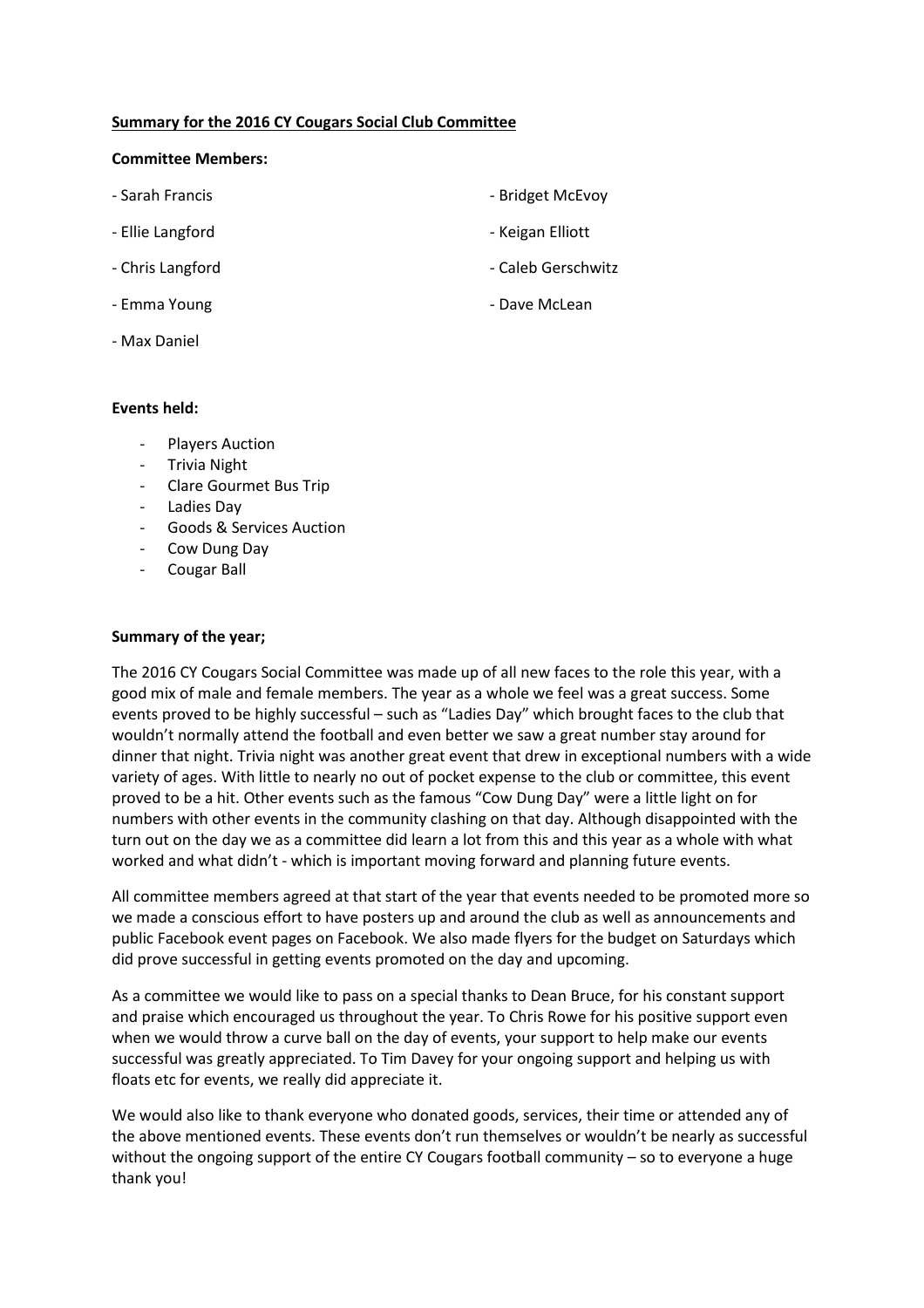## Summary for the 2016 CY Cougars Social Club Committee

## Committee Members:

- Sarah Francis
- Ellie Langford
- Chris Langford
- Emma Young
- Max Daniel

## Events held:

- Players Auction
- Trivia Night
- Clare Gourmet Bus Trip
- Ladies Day
- Goods & Services Auction
- Cow Dung Day
- Cougar Ball

## Summary of the year;

The 2016 CY Cougars Social Committee was made up of all new faces to the role this year, with a good mix of male and female members. The year as a whole we feel was a great success. Some events proved to be highly successful – such as "Ladies Day" which brought faces to the club that wouldn't normally attend the football and even better we saw a great number stay around for dinner that night. Trivia night was another great event that drew in exceptional numbers with a wide variety of ages. With little to nearly no out of pocket expense to the club or committee, this event proved to be a hit. Other events such as the famous "Cow Dung Day" were a little light on for numbers with other events in the community clashing on that day. Although disappointed with the turn out on the day we as a committee did learn a lot from this and this year as a whole with what worked and what didn't - which is important moving forward and planning future events.

All committee members agreed at that start of the year that events needed to be promoted more so we made a conscious effort to have posters up and around the club as well as announcements and public Facebook event pages on Facebook. We also made flyers for the budget on Saturdays which did prove successful in getting events promoted on the day and upcoming.

As a committee we would like to pass on a special thanks to Dean Bruce, for his constant support and praise which encouraged us throughout the year. To Chris Rowe for his positive support even when we would throw a curve ball on the day of events, your support to help make our events successful was greatly appreciated. To Tim Davey for your ongoing support and helping us with floats etc for events, we really did appreciate it.

We would also like to thank everyone who donated goods, services, their time or attended any of the above mentioned events. These events don't run themselves or wouldn't be nearly as successful without the ongoing support of the entire CY Cougars football community – so to everyone a huge thank you!

- Bridget McEvoy
- Keigan Elliott
- Caleb Gerschwitz
- Dave McLean